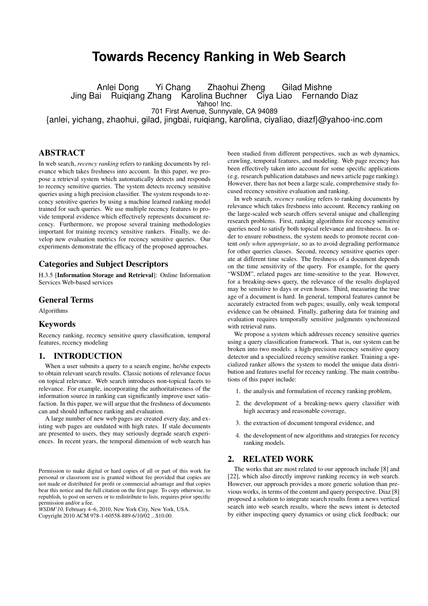# **Towards Recency Ranking in Web Search**

Anlei Dong Yi Chang Zhaohui Zheng Gilad Mishne<br>Jing Bai Ruiqiang Zhang Karolina Buchner Ciya Liao Fernanc Karolina Buchner Ciya Liao Fernando Diaz

Yahoo! Inc.

701 First Avenue, Sunnyvale, CA 94089

{anlei, yichang, zhaohui, gilad, jingbai, ruiqiang, karolina, ciyaliao, diazf}@yahoo-inc.com

### ABSTRACT

In web search, *recency ranking* refers to ranking documents by relevance which takes freshness into account. In this paper, we propose a retrieval system which automatically detects and responds to recency sensitive queries. The system detects recency sensitive queries using a high precision classifier. The system responds to recency sensitive queries by using a machine learned ranking model trained for such queries. We use multiple recency features to provide temporal evidence which effectively represents document recency. Furthermore, we propose several training methodologies important for training recency sensitive rankers. Finally, we develop new evaluation metrics for recency sensitive queries. Our experiments demonstrate the efficacy of the proposed approaches.

### Categories and Subject Descriptors

H.3.5 [Information Storage and Retrieval]: Online Information Services Web-based services

### General Terms

Algorithms

### Keywords

Recency ranking, recency sensitive query classification, temporal features, recency modeling

### 1. INTRODUCTION

When a user submits a query to a search engine, he/she expects to obtain relevant search results. Classic notions of relevance focus on topical relevance. Web search introduces non-topical facets to relevance. For example, incorporating the authoritativeness of the information source in ranking can significantly improve user satisfaction. In this paper, we will argue that the freshness of documents can and should influence ranking and evaluation.

A large number of new web pages are created every day, and existing web pages are outdated with high rates. If stale documents are presented to users, they may seriously degrade search experiences. In recent years, the temporal dimension of web search has

*WSDM'10,* February 4–6, 2010, New York City, New York, USA. Copyright 2010 ACM 978-1-60558-889-6/10/02 ...\$10.00.

been studied from different perspectives, such as web dynamics, crawling, temporal features, and modeling. Web page recency has been effectively taken into account for some specific applications (e.g. research publication databases and news article page ranking). However, there has not been a large scale, comprehensive study focused recency sensitive evaluation and ranking.

In web search, *recency ranking* refers to ranking documents by relevance which takes freshness into account. Recency ranking on the large-scaled web search offers several unique and challenging research problems. First, ranking algorithms for recency sensitive queries need to satisfy both topical relevance and freshness. In order to ensure robustness, the system needs to promote recent content *only when appropriate*, so as to avoid degrading performance for other queries classes. Second, recency sensitive queries operate at different time scales. The freshness of a document depends on the time sensitivity of the query. For example, for the query "WSDM", related pages are time-sensitive to the year. However, for a breaking-news query, the relevance of the results displayed may be sensitive to days or even hours. Third, measuring the true age of a document is hard. In general, temporal features cannot be accurately extracted from web pages; usually, only weak temporal evidence can be obtained. Finally, gathering data for training and evaluation requires temporally sensitive judgments synchronized with retrieval runs.

We propose a system which addresses recency sensitive queries using a query classification framework. That is, our system can be broken into two models: a high-precision recency sensitive query detector and a specialized recency sensitive ranker. Training a specialized ranker allows the system to model the unique data distribution and features useful for recency ranking. The main contributions of this paper include:

- 1. the analysis and formulation of recency ranking problem,
- 2. the development of a breaking-news query classifier with high accuracy and reasonable coverage,
- 3. the extraction of document temporal evidence, and
- 4. the development of new algorithms and strategies for recency ranking models.

### 2. RELATED WORK

The works that are most related to our approach include [8] and [22], which also directly improve ranking recency in web search. However, our approach provides a more generic solution than previous works, in terms of the content and query perspective. Diaz [8] proposed a solution to integrate search results from a news vertical search into web search results, where the news intent is detected by either inspecting query dynamics or using click feedback; our

Permission to make digital or hard copies of all or part of this work for personal or classroom use is granted without fee provided that copies are not made or distributed for profit or commercial advantage and that copies bear this notice and the full citation on the first page. To copy otherwise, to republish, to post on servers or to redistribute to lists, requires prior specific permission and/or a fee.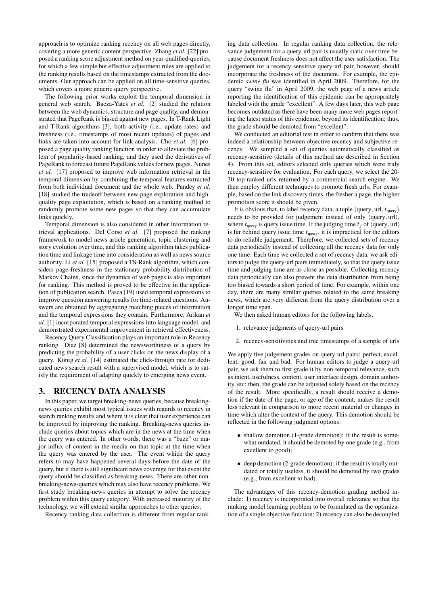approach is to optimize ranking recency on all web pages directly, covering a more generic content perspective. Zhang *et al.* [22] proposed a ranking score adjustment method on year-qualified-queries, for which a few simple but effective adjustment rules are applied to the ranking results based on the timestamps extracted from the documents. Our approach can be applied on all time-sensitive queries, which covers a more generic query perspective.

The following prior works exploit the temporal dimension in general web search. Baeza-Yates *et al.* [2] studied the relation between the web dynamics, structure and page quality, and demonstrated that PageRank is biased against new pages. In T-Rank Light and T-Rank algorithms [3], both activity (i.e., update rates) and freshness (i.e., timestamps of most recent updates) of pages and links are taken into account for link analysis. Cho *et al.* [6] proposed a page quality ranking function in order to alleviate the problem of popularity-based ranking, and they used the derivatives of PageRank to forecast future PageRank values for new pages. Nunes *et al.* [17] proposed to improve web information retrieval in the temporal dimension by combining the temporal features extracted from both individual document and the whole web. Pandey *et al.* [18] studied the tradeoff between new page exploration and highquality page exploitation, which is based on a ranking method to randomly promote some new pages so that they can accumulate links quickly.

Temporal dimension is also considered in other information retrieval applications. Del Corso *et al.* [7] proposed the ranking framework to model news article generation, topic clustering and story evolution over time, and this ranking algorithm takes publication time and linkage time into consideration as well as news source authority. Li *et al.* [15] proposed a TS-Rank algorithm, which considers page freshness in the stationary probability distribution of Markov Chains, since the dynamics of web pages is also important for ranking. This method is proved to be effective in the application of publication search. Pasca [19] used temporal expressions to improve question answering results for time-related questions. Answers are obtained by aggregating matching pieces of information and the temporal expressions they contain. Furthermore, Arikan *et al.* [1] incorporated temporal expressions into language model, and demonstrated experimental improvement in retrieval effectiveness.

Recency Query Classification plays an important role in Recency ranking. Diaz [8] determined the newsworthiness of a query by predicting the probability of a user clicks on the news display of a query. König *et al.* [14] estimated the click-through rate for dedicated news search result with a supervised model, which is to satisfy the requirement of adapting quickly to emerging news event.

### 3. RECENCY DATA ANALYSIS

In this paper, we target breaking-news queries, because breakingnews queries exhibit most typical issues with regards to recency in search ranking results and where it is clear that user experience can be improved by improving the ranking. Breaking-news queries include queries about topics which are in the news at the time when the query was entered. In other words, there was a "buzz" or major influx of content in the media on that topic at the time when the query was entered by the user. The event which the query refers to may have happened several days before the date of the query, but if there is still significant news coverage for that event the query should be classified as breaking-news. There are other nonbreaking-news-queries which may also have recency problems. We first study breaking-news queries in attempt to solve the recency problem within this query category. With increased maturity of the technology, we will extend similar approaches to other queries.

Recency ranking data collection is different from regular rank-

ing data collection. In regular ranking data collection, the relevance judgement for a query-url pair is usually static over time because document freshness does not affect the user satisfaction. The judgement for a recency-sensitive query-url pair, however, should incorporate the freshness of the document. For example, the epidemic *swine flu* was identified in April 2009. Therefore, for the query "swine flu" in April 2009, the web page of a news article reporting the identification of this epidemic can be appropriately labeled with the grade "excellent". A few days later, this web page becomes outdated as there have been many more web pages reporting the latest status of this epidemic, beyond its identification; thus, the grade should be demoted from "excellent".

We conducted an editorial test in order to confirm that there was indeed a relationship between objective recency and subjective recency. We sampled a set of queries automatically classified as recency-sensitive (details of this method are described in Section 4). From this set, editors selected only queries which were truly recency-sensitive for evaluation. For each query, we select the 20- 30 top-ranked urls returned by a commercial search engine. We then employ different techniques to promote fresh urls. For example, based on the link discovery times, the fresher a page, the higher promotion score it should be given.

It is obvious that, to label recency data, a tuple  $\langle \text{query}, \text{url}, \text{t}_{\text{query}} \rangle$ needs to be provided for judgement instead of only *⟨*query*,* url*⟩*, where  $t_{query}$  is query issue time. If the judging time  $t_i$  of  $\langle$  query, url $\rangle$ is far behind query issue time  $t_{query}$ , it is impractical for the editors to do reliable judgement. Therefore, we collected sets of recency data periodically instead of collecting all the recency data for only one time. Each time we collected a set of recency data, we ask editors to judge the query-url pairs immediately, so that the query issue time and judging time are as close as possible. Collecting recency data periodically can also prevent the data distribution from being too biased towards a short period of time. For example, within one day, there are many similar queries related to the same breaking news, which are very different from the query distribution over a longer time span.

We then asked human editors for the following labels,

- 1. relevance judgments of query-url pairs
- 2. recency-sensitivities and true timestamps of a sample of urls

We apply five judgement grades on query-url pairs: perfect, excellent, good, fair and bad. For human editors to judge a query-url pair, we ask them to first grade it by non-temporal relevance, such as intent, usefulness, content, user interface design, domain authority, etc; then, the grade can be adjusted solely based on the recency of the result. More specifically, a result should receive a demotion if the date of the page, or age of the content, makes the result less relevant in comparison to more recent material or changes in time which alter the context of the query. This demotion should be reflected in the following judgment options:

- shallow demotion (1-grade demotion): if the result is somewhat outdated, it should be demoted by one grade (e.g., from excellent to good);
- deep demotion (2-grade demotion): if the result is totally outdated or totally useless, it should be demoted by two grades (e.g., from excellent to bad).

The advantages of this recency-demotion grading method include: 1) recency is incorporated into overall relevance so that the ranking model learning problem to be formulated as the optimization of a single objective function; 2) recency can also be decoupled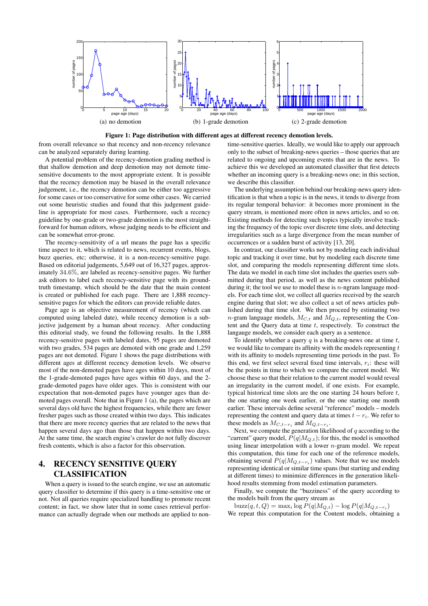

Figure 1: Page distribution with different ages at different recency demotion levels.

from overall relevance so that recency and non-recency relevance can be analyzed separately during learning.

A potential problem of the recency-demotion grading method is that shallow demotion and deep demotion may not demote timesensitive documents to the most appropriate extent. It is possible that the recency demotion may be biased in the overall relevance judgement, i.e., the recency demotion can be either too aggressive for some cases or too conservative for some other cases. We carried out some heuristic studies and found that this judgement guideline is appropriate for most cases. Furthermore, such a recency guideline by one-grade or two-grade demotion is the most straightforward for human editors, whose judging needs to be efficient and can be somewhat error-prone.

The recency-sensitivity of a url means the page has a specific time aspect to it, which is related to news, recurrent events, blogs, buzz queries, etc; otherwise, it is a non-recency-sensitive page. Based on editorial judgements, 5,649 out of 16,327 pages, approximately 34*.*6%, are labeled as recency-sensitive pages. We further ask editors to label each recency-sensitive page with its groundtruth timestamp, which should be the date that the main content is created or published for each page. There are 1,888 recencysensitive pages for which the editors can provide reliable dates.

Page age is an objective measurement of recency (which can computed using labeled date), while recency demotion is a subjective judgement by a human about recency. After conducting this editorial study, we found the following results. In the 1,888 recency-sensitive pages with labeled dates, 95 pages are demoted with two grades, 534 pages are demoted with one grade and 1,259 pages are not demoted. Figure 1 shows the page distributions with different ages at different recency demotion levels. We observe most of the non-demoted pages have ages within 10 days, most of the 1-grade-demoted pages have ages within 60 days, and the 2 grade-demoted pages have older ages. This is consistent with our expectation that non-demoted pages have younger ages than demoted pages overall. Note that in Figure 1 (a), the pages which are several days old have the highest frequencies, while there are fewer fresher pages such as those created within two days. This indicates that there are more recency queries that are related to the news that happen several days ago than those that happen within two days. At the same time, the search engine's crawler do not fully discover fresh contents, which is also a factor for this observation.

# 4. RECENCY SENSITIVE QUERY CLASSIFICATION

When a query is issued to the search engine, we use an automatic query classifier to determine if this query is a time-sensitive one or not. Not all queries require specialized handling to promote recent content; in fact, we show later that in some cases retrieval performance can actually degrade when our methods are applied to nontime-sensitive queries. Ideally, we would like to apply our approach only to the subset of breaking-news queries – those queries that are related to ongoing and upcoming events that are in the news. To achieve this we developed an automated classifier that first detects whether an incoming query is a breaking-news one; in this section, we describe this classifier.

The underlying assumption behind our breaking-news query identification is that when a topic is in the news, it tends to diverge from its regular temporal behavior: it becomes more prominent in the query stream, is mentioned more often in news articles, and so on. Existing methods for detecting such topics typically involve tracking the frequency of the topic over discrete time slots, and detecting irregularities such as a large divergence from the mean number of occurrences or a sudden burst of activity [13, 20].

In contrast, our classifier works not by modeling each individual topic and tracking it over time, but by modeling each discrete time slot, and comparing the models representing different time slots. The data we model in each time slot includes the queries users submitted during that period, as well as the news content published during it; the tool we use to model these is *n*-ngram language models. For each time slot, we collect all queries received by the search engine during that slot; we also collect a set of news articles published during that time slot. We then proceed by estimating two  $n$ -gram language models,  $M_{C,t}$  and  $M_{Q,t}$ , representing the Content and the Query data at time *t*, respectively. To construct the langauge models, we consider each query as a sentence.

To identify whether a query *q* is a breaking-news one at time *t*, we would like to compare its affinity with the models representing *t* with its affinity to models representing time periods in the past. To this end, we first select several fixed time intervals,  $r_i$ : these will be the points in time to which we compare the current model. We choose these so that their relation to the current model would reveal an irregularity in the current model, if one exists. For example, typical historical time slots are the one starting 24 hours before *t*, the one starting one week earlier, or the one starting one month earlier. These intervals define several "reference" models – models representing the content and query data at times  $t - r_i$ . We refer to these models as  $M_{C,t-r_i}$  and  $M_{Q,t-r_i}$ .

Next, we compute the generation likelihood of *q* according to the "current" query model,  $P(q|M_{Q,t})$ ; for this, the model is smoothed using linear interpolation with a lower *n*-gram model. We repeat this computation, this time for each one of the reference models, obtaining several  $P(q|M_{Q,t-r_i})$  values. Note that we use models representing identical or similar time spans (but starting and ending at different times) to minimize differences in the generation likelihood results stemming from model estimation parameters.

Finally, we compute the "buzziness" of the query according to the models built from the query stream as

 $\frac{\partial \text{log} P}{\partial t} = \max_i \log P(q|M_{Q,t}) - \log P(q|M_{Q,t-r_i})$ We repeat this computation for the Content models, obtaining a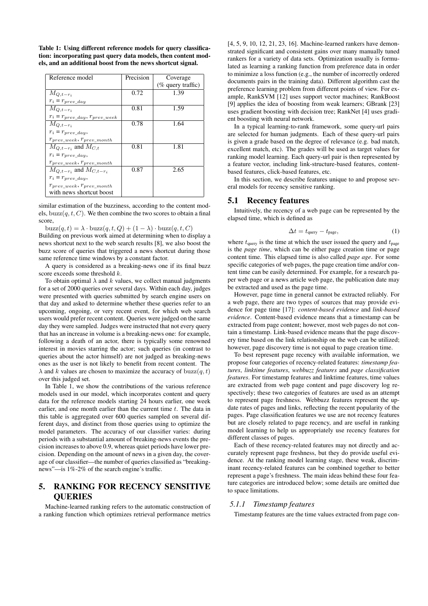Table 1: Using different reference models for query classification: incorporating past query data models, then content models, and an additional boost from the news shortcut signal.

| Reference model                       | Precision | Coverage             |
|---------------------------------------|-----------|----------------------|
|                                       |           | $(\%$ query traffic) |
| $M_{Q,t-r_i}$                         | 0.72      | 1.39                 |
| $r_i = r_{prev\_day}$                 |           |                      |
| $M_{Q,t-r_i}$                         | 0.81      | 1.59                 |
| $r_i = r_{prev\_day}, r_{prev\_week}$ |           |                      |
| $M_{Q,t-r_i}$                         | 0.78      | 1.64                 |
| $r_i = r_{prev\_day},$                |           |                      |
| $r_{prev\_week}, r_{prev\_month}$     |           |                      |
| $M_{Q,t-r_i}$ and $M_{C,t}$           | 0.81      | 1.81                 |
| $r_i = r_{prev\_day},$                |           |                      |
| $r_{prev\_week}, r_{prev\_month}$     |           |                      |
| $M_{Q,t-r_i}$ and $M_{C,t-r_i}$       | 0.87      | 2.65                 |
| $r_i = r_{prev\_day},$                |           |                      |
| $r_{prev\_week}, r_{prev\_month}$     |           |                      |
| with news shortcut boost              |           |                      |

similar estimation of the buzziness, according to the content models, buzz $(q, t, C)$ . We then combine the two scores to obtain a final score,

 $buzz(q, t) = \lambda \cdot buzz(q, t, Q) + (1 - \lambda) \cdot buzz(q, t, C)$ 

Building on previous work aimed at determining when to display a news shortcut next to the web search results [8], we also boost the buzz score of queries that triggered a news shortcut during those same reference time windows by a constant factor.

A query is considered as a breaking-news one if its final buzz score exceeds some threshold *k*.

To obtain optimal  $\lambda$  and  $k$  values, we collect manual judgments for a set of 2000 queries over several days. Within each day, judges were presented with queries submitted by search engine users on that day and asked to determine whether these queries refer to an upcoming, ongoing, or very recent event, for which web search users would prefer recent content. Queries were judged on the same day they were sampled. Judges were instructed that not every query that has an increase in volume is a breaking-news one: for example, following a death of an actor, there is typically some renowned interest in movies starring the actor; such queries (in contrast to queries about the actor himself) are not judged as breaking-news ones as the user is not likely to benefit from recent content. The *λ* and *k* values are chosen to maximize the accuracy of buzz $(q, t)$ over this judged set.

In Table 1, we show the contributions of the various reference models used in our model, which incorporates content and query data for the reference models starting 24 hours earlier, one week earlier, and one month earlier than the current time *t*. The data in this table is aggregated over 600 queries sampled on several different days, and distinct from those queries using to optimize the model parameters. The accuracy of our classifier varies: during periods with a substantial amount of breaking-news events the precision increases to above 0.9, whereas quiet periods have lower precision. Depending on the amount of news in a given day, the coverage of our classifier—the number of queries classified as "breakingnews"—is 1%-2% of the search engine's traffic.

# 5. RANKING FOR RECENCY SENSITIVE **QUERIES**

Machine-learned ranking refers to the automatic construction of a ranking function which optimizes retrieval performance metrics

[4, 5, 9, 10, 12, 21, 23, 16]. Machine-learned rankers have demonstrated significant and consistent gains over many manually tuned rankers for a variety of data sets. Optimization usually is formulated as learning a ranking function from preference data in order to minimize a loss function (e.g., the number of incorrectly ordered documents pairs in the training data). Different algorithm cast the preference learning problem from different points of view. For example, RankSVM [12] uses support vector machines; RankBoost [9] applies the idea of boosting from weak learners; GBrank [23] uses gradient boosting with decision tree; RankNet [4] uses gradient boosting with neural network.

In a typical learning-to-rank framework, some query-url pairs are selected for human judgments. Each of these query-url pairs is given a grade based on the degree of relevance (e.g. bad match, excellent match, etc). The grades will be used as target values for ranking model learning. Each query-url pair is then represented by a feature vector, including link-structure-based features, contentbased features, click-based features, etc.

In this section, we describe features unique to and propose several models for recency sensitive ranking.

### 5.1 Recency features

Intuitively, the recency of a web page can be represented by the elapsed time, which is defined as

$$
\Delta t = t_{\text{query}} - t_{\text{page}},\tag{1}
$$

where  $t_{query}$  is the time at which the user issued the query and  $t_{page}$ is the *page time*, which can be either page creation time or page content time. This elapsed time is also called *page age*. For some specific categories of web pages, the page creation time and/or content time can be easily determined. For example, for a research paper web page or a news article web page, the publication date may be extracted and used as the page time.

However, page time in general cannot be extracted reliably. For a web page, there are two types of sources that may provide evidence for page time [17]: *content-based evidence* and *link-based evidence*. Content-based evidence means that a timestamp can be extracted from page content; however, most web pages do not contain a timestamp. Link-based evidence means that the page discovery time based on the link relationship on the web can be utilized; however, page discovery time is not equal to page creation time.

To best represent page recency with available information, we propose four categories of recency-related features: *timestamp features*, *linktime features*, *webbuzz features* and *page classification features*. For timestamp features and linktime features, time values are extracted from web page content and page discovery log respectively; these two categories of features are used as an attempt to represent page freshness. Webbuzz features represent the update rates of pages and links, reflecting the recent popularity of the pages. Page classification features we use are not recency features but are closely related to page recency, and are useful in ranking model learning to help us appropriately use recency features for different classes of pages.

Each of these recency-related features may not directly and accurately represent page freshness, but they do provide useful evidence. At the ranking model learning stage, these weak, discriminant recency-related features can be combined together to better represent a page's freshness. The main ideas behind these four feature categories are introduced below; some details are omitted due to space limitations.

#### *5.1.1 Timestamp features*

Timestamp features are the time values extracted from page con-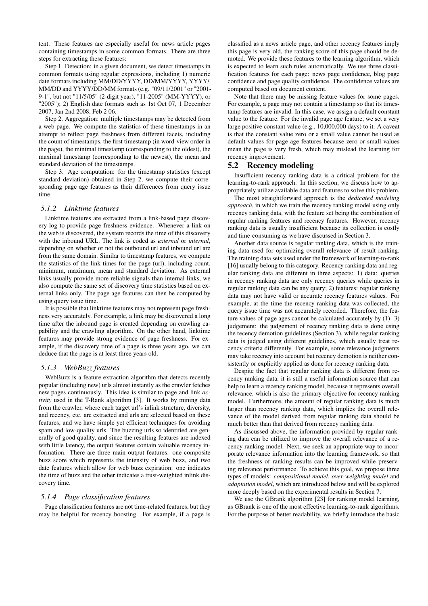tent. These features are especially useful for news article pages containing timestamps in some common formats. There are three steps for extracting these features:

Step 1. Detection: in a given document, we detect timestamps in common formats using regular expressions, including 1) numeric date formats including MM/DD/YYYY, DD/MM/YYYY, YYYY/ MM/DD and YYYY/DD/MM formats (e.g. "09/11/2001" or "2001- 9-1", but not "11/5/05" (2-digit year), "11-2005" (MM-YYYY), or "2005"); 2) English date formats such as 1st Oct 07, 1 December 2007, Jan 2nd 2008, Feb 2 06.

Step 2. Aggregation: multiple timestamps may be detected from a web page. We compute the statistics of these timestamps in an attempt to reflect page freshness from different facets, including the count of timestamps, the first timestamp (in word-view order in the page), the minimal timestamp (corresponding to the oldest), the maximal timestamp (corresponding to the newest), the mean and standard deviation of the timestamps.

Step 3. Age computation: for the timestamp statistics (except standard deviation) obtained in Step 2, we compute their corresponding page age features as their differences from query issue time.

#### *5.1.2 Linktime features*

Linktime features are extracted from a link-based page discovery log to provide page freshness evidence. Whenever a link on the web is discovered, the system records the time of this discovery with the inbound URL. The link is coded as *external* or *internal*, depending on whether or not the outbound url and inbound url are from the same domain. Similar to timestamp features, we compute the statistics of the link times for the page (url), including count, minimum, maximum, mean and standard deviation. As external links usually provide more reliable signals than internal links, we also compute the same set of discovery time statistics based on external links only. The page age features can then be computed by using query issue time.

It is possible that linktime features may not represent page freshness very accurately. For example, a link may be discovered a long time after the inbound page is created depending on crawling capability and the crawling algorithm. On the other hand, linktime features may provide strong evidence of page freshness. For example, if the discovery time of a page is three years ago, we can deduce that the page is at least three years old.

#### *5.1.3 WebBuzz features*

WebBuzz is a feature extraction algorithm that detects recently popular (including new) urls almost instantly as the crawler fetches new pages continuously. This idea is similar to page and link *activity* used in the T-Rank algorithm [3]. It works by mining data from the crawler, where each target url's inlink structure, diversity, and recency, etc. are extracted and urls are selected based on these features, and we have simple yet efficient techniques for avoiding spam and low-quality urls. The buzzing urls so identified are generally of good quality, and since the resulting features are indexed with little latency, the output features contain valuable recency information. There are three main output features: one composite buzz score which represents the intensity of web buzz, and two date features which allow for web buzz expiration: one indicates the time of buzz and the other indicates a trust-weighted inlink discovery time.

#### *5.1.4 Page classification features*

Page classification features are not time-related features, but they may be helpful for recency boosting. For example, if a page is classified as a news article page, and other recency features imply this page is very old, the ranking score of this page should be demoted. We provide these features to the learning algorithm, which is expected to learn such rules automatically. We use three classification features for each page: news page confidence, blog page confidence and page quality confidence. The confidence values are computed based on document content.

Note that there may be missing feature values for some pages. For example, a page may not contain a timestamp so that its timestamp features are invalid. In this case, we assign a default constant value to the feature. For the invalid page age feature, we set a very large positive constant value (e.g., 10,000,000 days) to it. A caveat is that the constant value zero or a small value cannot be used as default values for page age features because zero or small values mean the page is very fresh, which may mislead the learning for recency improvement.

#### 5.2 Recency modeling

Insufficient recency ranking data is a critical problem for the learning-to-rank approach. In this section, we discuss how to appropriately utilize available data and features to solve this problem.

The most straightforward approach is the *dedicated modeling approach*, in which we train the recency ranking model using only recency ranking data, with the feature set being the combination of regular ranking features and recency features. However, recency ranking data is usually insufficient because its collection is costly and time-consuming as we have discussed in Section 3.

Another data source is regular ranking data, which is the training data used for optimizing overall relevance of result ranking. The training data sets used under the framework of learning-to-rank [16] usually belong to this category. Recency ranking data and regular ranking data are different in three aspects: 1) data: queries in recency ranking data are only recency queries while queries in regular ranking data can be any query; 2) features: regular ranking data may not have valid or accurate recency features values. For example, at the time the recency ranking data was collected, the query issue time was not accurately recorded. Therefore, the feature values of page ages cannot be calculated accurately by (1). 3) judgement: the judgement of recency ranking data is done using the recency demotion guidelines (Section 3), while regular ranking data is judged using different guidelines, which usually treat recency criteria differently. For example, some relevance judgments may take recency into account but recency demotion is neither consistently or explicitly applied as done for recency ranking data.

Despite the fact that regular ranking data is different from recency ranking data, it is still a useful information source that can help to learn a recency ranking model, because it represents overall relevance, which is also the primary objective for recency ranking model. Furthermore, the amount of regular ranking data is much larger than recency ranking data, which implies the overall relevance of the model derived from regular ranking data should be much better than that derived from recency ranking data.

As discussed above, the information provided by regular ranking data can be utilized to improve the overall relevance of a recency ranking model. Next, we seek an appropriate way to incorporate relevance information into the learning framework, so that the freshness of ranking results can be improved while preserving relevance performance. To achieve this goal, we propose three types of models: *compositional model*, *over-weighting model* and *adaptation model*, which are introduced below and will be explored more deeply based on the experimental results in Section 7.

We use the GBrank algorithm [23] for ranking model learning, as GBrank is one of the most effective learning-to-rank algorithms. For the purpose of better readability, we briefly introduce the basic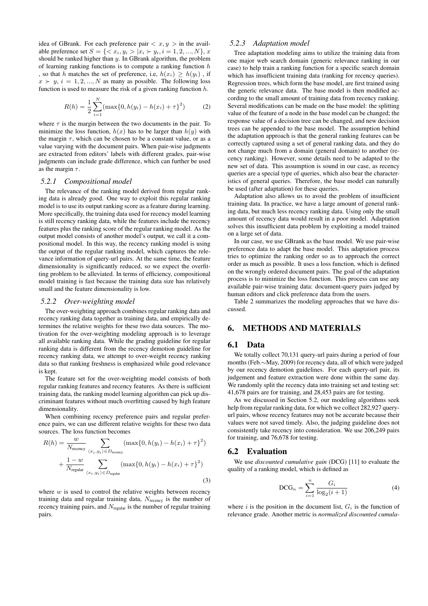idea of GBrank. For each preference pair  $\langle x, y \rangle$  in the available preference set  $S = \{ \langle x_i, y_i \rangle | x_i \rangle | y_i, i = 1, 2, ..., N \}, x$ should be ranked higher than *y*. In GBrank algorithm, the problem of learning ranking functions is to compute a ranking function *h* , so that *h* matches the set of preference, i.e,  $h(x_i) \geq h(y_i)$ , if  $x \succ y$ ,  $i = 1, 2, ..., N$  as many as possible. The following loss function is used to measure the risk of a given ranking function *h*.

$$
R(h) = \frac{1}{2} \sum_{i=1}^{N} (\max\{0, h(y_i) - h(x_i) + \tau\}^2)
$$
 (2)

where  $\tau$  is the margin between the two documents in the pair. To minimize the loss function,  $h(x)$  has to be larger than  $h(y)$  with the margin  $\tau$ , which can be chosen to be a constant value, or as a value varying with the document pairs. When pair-wise judgments are extracted from editors' labels with different grades, pair-wise judgments can include grade difference, which can further be used as the margin *τ* .

#### *5.2.1 Compositional model*

The relevance of the ranking model derived from regular ranking data is already good. One way to exploit this regular ranking model is to use its output ranking score as a feature during learning. More specifically, the training data used for recency model learning is still recency ranking data, while the features include the recency features plus the ranking score of the regular ranking model. As the output model consists of another model's output, we call it a compositional model. In this way, the recency ranking model is using the output of the regular ranking model, which captures the relevance information of query-url pairs. At the same time, the feature dimensionality is significantly reduced, so we expect the overfitting problem to be alleviated. In terms of efficiency, compositional model training is fast because the training data size has relatively small and the feature dimensionality is low.

#### *5.2.2 Over-weighting model*

The over-weighting approach combines regular ranking data and recency ranking data together as training data, and empirically determines the relative weights for these two data sources. The motivation for the over-weighting modeling approach is to leverage all available ranking data. While the grading guideline for regular ranking data is different from the recency demotion guideline for recency ranking data, we attempt to over-weight recency ranking data so that ranking freshness is emphasized while good relevance is kept.

The feature set for the over-weighting model consists of both regular ranking features and recency features. As there is sufficient training data, the ranking model learning algorithm can pick up discriminant features without much overfitting caused by high feature dimensionality.

When combining recency preference pairs and regular preference pairs, we can use different relative weights for these two data sources. The loss function becomes

$$
R(h) = \frac{w}{N_{\text{reconv}}} \sum_{\langle x_i, y_i \rangle \in D_{\text{reconv}}} (\max\{0, h(y_i) - h(x_i) + \tau\}^2)
$$

$$
+ \frac{1 - w}{N_{\text{regular}}} \sum_{\langle x_i, y_i \rangle \in D_{\text{regular}}} (\max\{0, h(y_i) - h(x_i) + \tau\}^2)
$$
(3)

where *w* is used to control the relative weights between recency training data and regular training data, *N*recency is the number of recency training pairs, and *N*regular is the number of regular training pairs.

#### *5.2.3 Adaptation model*

Tree adaptation modeling aims to utilize the training data from one major web search domain (generic relevance ranking in our case) to help train a ranking function for a specific search domain which has insufficient training data (ranking for recency queries). Regression trees, which form the base model, are first trained using the generic relevance data. The base model is then modified according to the small amount of training data from recency ranking. Several modifications can be made on the base model: the splitting value of the feature of a node in the base model can be changed; the response value of a decision tree can be changed, and new decision trees can be appended to the base model. The assumption behind the adaptation approach is that the general ranking features can be correctly captured using a set of general ranking data, and they do not change much from a domain (general domain) to another (recency ranking). However, some details need to be adapted to the new set of data. This assumption is sound in our case, as recency queries are a special type of queries, which also bear the characteristics of general queries. Therefore, the base model can naturally be used (after adaptation) for these queries.

Adaptation also allows us to avoid the problem of insufficient training data. In practice, we have a large amount of general ranking data, but much less recency ranking data. Using only the small amount of recency data would result in a poor model. Adaptation solves this insufficient data problem by exploiting a model trained on a large set of data.

In our case, we use GBrank as the base model. We use pair-wise preference data to adapt the base model. This adaptation process tries to optimize the ranking order so as to approach the correct order as much as possible. It uses a loss function, which is defined on the wrongly ordered document pairs. The goal of the adaptation process is to minimize the loss function. This process can use any available pair-wise training data: document-query pairs judged by human editors and click preference data from the users.

Table 2 summarizes the modeling approaches that we have discussed.

### 6. METHODS AND MATERIALS

### 6.1 Data

We totally collect 70,131 query-url pairs during a period of four months (Feb.*∼*May, 2009) for recency data, all of which were judged by our recency demotion guidelines. For each query-url pair, its judgement and feature extraction were done within the same day. We randomly split the recency data into training set and testing set: 41,678 pairs are for training, and 28,453 pairs are for testing.

As we discussed in Section 5.2, our modeling algorithms seek help from regular ranking data, for which we collect 282,927 queryurl pairs, whose recency features may not be accurate because their values were not saved timely. Also, the judging guideline does not consistently take recency into consideration. We use 206,249 pairs for training, and 76,678 for testing.

### 6.2 Evaluation

We use *discounted cumulative gain* (DCG) [11] to evaluate the quality of a ranking model, which is defined as

$$
\text{DCG}_n = \sum_{i=1}^n \frac{G_i}{\log_2(i+1)}\tag{4}
$$

where  $i$  is the position in the document list,  $G_i$  is the function of relevance grade. Another metric is *normalized discounted cumula-*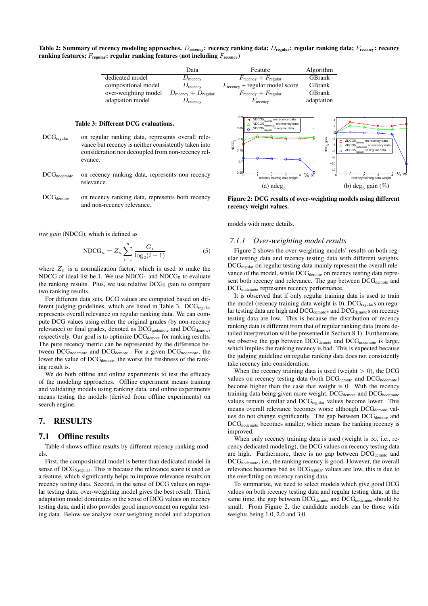Table 2: Summary of recency modeling approaches.  $D_{\text{reenergy}}$ : recency ranking data;  $D_{\text{regular}}$ : regular ranking data;  $F_{\text{reenergy}}$ : recency ranking features; *F*<sub>regular</sub>: regular ranking features (not including *F*<sub>recency</sub>)

|                      | Data                                     | Feature                                   | Algorithm     |
|----------------------|------------------------------------------|-------------------------------------------|---------------|
| dedicated model      | $D_{\text{recency}}$                     | $F_{\text{reconv}} + F_{\text{regular}}$  | <b>GBrank</b> |
| compositional model  | $D_{\text{recenty}}$                     | $F_{\text{reconv}}$ + regular model score | <b>GBrank</b> |
| over-weighting model | $D_{\text{reconv}} + D_{\text{regular}}$ | $F_{\text{reconv}} + F_{\text{regular}}$  | <b>GBrank</b> |
| adaptation model     | $D_{\text{recency}}$                     | $F_{\text{recenty}}$                      | adaptation    |

#### Table 3: Different DCG evaluations.

- DCG<sub>regular</sub> on regular ranking data, represents overall relevance but recency is neither consistently taken into consideration nor decoupled from non-recency relevance.
- DCG<sub>nodemote</sub> on recency ranking data, represents non-recency relevance.
- DCG<sub>demote</sub> on recency ranking data, represents both recency and non-recency relevance.

*tive gain* (NDCG), which is defined as

$$
NDCG_n = Z_n \sum_{i=1}^n \frac{G_i}{\log_2(i+1)}
$$
 (5)

where  $Z_n$  is a normalization factor, which is used to make the NDCG of ideal list be 1. We use  $NDCG_1$  and  $NDCG_5$  to evaluate the ranking results. Plus, we use relative  $DCG<sub>5</sub>$  gain to compare two ranking results.

For different data sets, DCG values are computed based on different judging guidelines, which are listed in Table 3. DCG<sub>regular</sub> represents overall relevance on regular ranking data. We can compute DCG values using either the original grades (by non-recency relevance) or final grades, denoted as  $DCG_{\text{nodemost}}$  and  $DCG_{\text{denote}}$ . respectively. Our goal is to optimize DCG<sub>demote</sub> for ranking results. The pure recency metric can be represented by the difference between DCG<sub>nodemote</sub> and DCG<sub>demote</sub>. For a given DCG<sub>nodemote</sub>, the lower the value of  $DCG_{\text{denote}}$ , the worse the freshness of the ranking result is.

We do both offline and online experiments to test the efficacy of the modeling approaches. Offline experiment means training and validating models using ranking data, and online experiments means testing the models (derived from offline experiments) on search engine.

### 7. RESULTS

### 7.1 Offline results

Table 4 shows offline results by different recency ranking models.

First, the compositional model is better than dedicated model in sense of DCG<sub>5,regular</sub>. This is because the relevance score is used as a feature, which significantly helps to improve relevance results on recency testing data. Second, in the sense of DCG values on regular testing data, over-weighting model gives the best result. Third, adaptation model dominates in the sense of DCG values on recency testing data, and it also provides good improvement on regular testing data. Below we analyze over-weighting model and adaptation



Figure 2: DCG results of over-weighting models using different recency weight values.

models with more details.

#### *7.1.1 Over-weighting model results*

Figure 2 shows the over-weighting models' results on both regular testing data and recency testing data with different weights. DCG<sub>regular</sub> on regular testing data mainly represent the overall relevance of the model, while DCG<sub>demote</sub> on recency testing data represent both recency and relevance. The gap between DCG<sub>demote</sub> and DCG<sub>nodemote</sub> represents recency performance.

It is observed that if only regular training data is used to train the model (recency training data weight is 0), DCG<sub>regular</sub>s on regular testing data are high and  $DCG_{\text{denote}}s$  and  $DCG_{\text{denote}}s$  on recency testing data are low. This is because the distribution of recency ranking data is different from that of regular ranking data (more detailed interpretation will be presented in Section 8.1). Furthermore, we observe the gap between DCG<sub>demote</sub> and DCG<sub>nodemote</sub> is large, which implies the ranking recency is bad. This is expected because the judging guideline on regular ranking data does not consistently take recency into consideration.

When the recency training data is used (weight *>* 0), the DCG values on recency testing data (both  $DCG_{\text{demote}}$  and  $DCG_{\text{nodemode}}$ ) become higher than the case that weight is 0. With the recency training data being given more weight, DCG<sub>demote</sub> and DCG<sub>nodemote</sub> values remain similar and DCG<sub>regular</sub> values become lower. This means overall relevance becomes worse although DCG<sub>demote</sub> values do not change significantly. The gap between DCG<sub>demote</sub> and DCG<sub>nodemote</sub> becomes smaller, which means the ranking recency is improved.

When only recency training data is used (weight is *∞*, i.e., recency dedicated modeling), the DCG values on recency testing data are high. Furthermore, there is no gap between  $DCG_{demote}$  and DCG<sub>nodemote</sub>, i.e., the ranking recency is good. However, the overall relevance becomes bad as DCG<sub>regular</sub> values are low, this is due to the overfitting on recency ranking data.

To summarize, we need to select models which give good DCG values on both recency testing data and regular testing data; at the same time, the gap between DCG<sub>demote</sub> and DCG<sub>nodemote</sub> should be small. From Figure 2, the candidate models can be those with weights being 1.0, 2.0 and 3.0.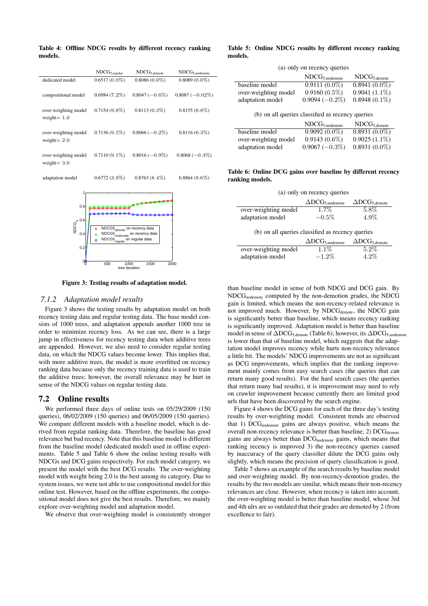Table 4: Offline NDCG results by different recency ranking models.

|                                                            | $NDCG_{5,regular}$                                                                                                                         | $NDCG_{5, demote}$                                                           | $NDCG5$ <sub>nodemote</sub> |
|------------------------------------------------------------|--------------------------------------------------------------------------------------------------------------------------------------------|------------------------------------------------------------------------------|-----------------------------|
| dedicated model                                            | $0.6517(0.0\%)$                                                                                                                            | $0.8086(0.0\%)$                                                              | $0.8089(0.0\%)$             |
| compositional model                                        | $0.6984(7.2\%)$                                                                                                                            | $0.8047(-0.6\%)$                                                             | $0.8087(-0.02\%)$           |
| over-weighting model<br>weight $= 1.0$                     | $0.7154(9.8\%)$                                                                                                                            | $0.8113(0.3\%)$                                                              | $0.8155(0.8\%)$             |
| over-weighting model<br>weight $= 2.0$                     | $0.7136(9.5\%)$                                                                                                                            | $0.8066(-0.2\%)$                                                             | $0.8116(0.3\%)$             |
| over-weighting model<br>weight $= 3.0$                     | $0.7110(9.1\%)$                                                                                                                            | $0.8016(-0.9\%)$                                                             | $0.8068(-0.3\%)$            |
| adaptation model                                           | $0.6772(3.9\%)$                                                                                                                            | $0.8763(8.4\%)$                                                              | $0.8864(9.6\%)$             |
| 0.8<br>$00^{\frac{1}{100}}$ 0.6 <sup>1</sup><br>0.4<br>0.2 | $\overline{\text{NDCG5}}_{\text{demote}}$<br>o<br>Δ<br>NDCG5 <sub>regular</sub> on regular data<br>$\overline{O}$<br>500<br>tree iteration | on recency data<br>NDCG5 <sub>nodemote</sub> on recency data<br>1000<br>1500 | 2000                        |

Figure 3: Testing results of adaptation model.

#### *7.1.2 Adaptation model results*

Figure 3 shows the testing results by adaptation model on both recency testing data and regular testing data. The base model consists of 1000 trees, and adaptation appends another 1000 tree in order to minimize recency loss. As we can see, there is a large jump in effectiveness for recency testing data when additive trees are appended. However, we also need to consider regular testing data, on which the NDCG values become lower. This implies that, with more additive trees, the model is more overfitted on recency ranking data because only the recency training data is used to train the additive trees; however, the overall relevance may be hurt in sense of the NDCG values on regular testing data.

#### 7.2 Online results

We performed three days of online tests on 05/29/2009 (150 queries), 06/02/2009 (150 queries) and 06/05/2009 (150 queries). We compare different models with a baseline model, which is derived from regular ranking data. Therefore, the baseline has good relevance but bad recency. Note that this baseline model is different from the baseline model (dedicated model) used in offline experiments. Table 5 and Table 6 show the online testing results with NDCGs and DCG gains respectively. For each model category, we present the model with the best DCG results. The over-weighting model with weight being 2.0 is the best among its category. Due to system issues, we were not able to use compositional model for this online test. However, based on the offline experiments, the compositional model does not give the best results. Therefore, we mainly explore over-weighting model and adaptation model.

We observe that over-weighting model is consistently stronger

#### Table 5: Online NDCG results by different recency ranking models.

|  | (a) only on recency queries |  |
|--|-----------------------------|--|
|  |                             |  |

|                      | $NDCG_{5,nodemote}$                              | $NDCG_{5, d$ emote       |
|----------------------|--------------------------------------------------|--------------------------|
| baseline model       | $0.9111(0.0\%)$                                  | $0.8941(0.0\%)$          |
| over-weighting model | $0.9160(0.5\%)$                                  | $0.9041(1.1\%)$          |
| adaptation model     | $0.9094(-0.2\%)$                                 | $0.8948(0.1\%)$          |
|                      | (b) on all queries classified as recency queries |                          |
|                      | $NDCG_{5,nodemote}$                              | NDCG <sub>5,demote</sub> |
| baseline model       | $\overline{0.9092}$ $\overline{(0.0\%)}$         | $0.8931(0.0\%)$          |
| over-weighting model | $0.9143(0.6\%)$                                  | $0.9025(1.1\%)$          |

Table 6: Online DCG gains over baseline by different recency ranking models.

adaptation model 0.9067 (*−*0*.*3%) 0.8931 (0*.*0%)

| (a) only on recency queries                                                      |                                         |                                       |  |
|----------------------------------------------------------------------------------|-----------------------------------------|---------------------------------------|--|
| $\Delta \text{DCG}_{5,\text{nodemode}}$<br>$\Delta \text{DCG}_{5,\text{demote}}$ |                                         |                                       |  |
| over-weighting model                                                             | 1.7%                                    | $5.8\%$                               |  |
| adaptation model                                                                 | $-0.5\%$                                | 4.9%                                  |  |
| (b) on all queries classified as recency queries                                 |                                         |                                       |  |
|                                                                                  | $\Delta \text{DCG}_{5,\text{nodemote}}$ | $\Delta \text{DCG}_{5,\text{demote}}$ |  |
| over-weighting model                                                             | 1.1%                                    | $5.2\%$                               |  |
| adaptation model                                                                 | $-1.2\%$                                | $4.2\%$                               |  |
|                                                                                  |                                         |                                       |  |

than baseline model in sense of both NDCG and DCG gain. By NDCGnodemote computed by the non-demotion grades, the NDCG gain is limited, which means the non-recency-related relevance is not improved much. However, by NDCG<sub>demote</sub>, the NDCG gain is significantly better than baseline, which means recency ranking is significantly improved. Adaptation model is better than baseline model in sense of  $\Delta \text{DCG}_{5,\text{demote}}$  (Table 6); however, its  $\Delta \text{DCG}_{5,\text{modemote}}$ is lower than that of baseline model, which suggests that the adaptation model improves recency while hurts non-recency relevance a little bit. The models' NDCG improvements are not as significant as DCG improvements, which implies that the ranking improvement mainly comes from easy search cases (the queries that can return many good results). For the hard search cases (the queries that return many bad results), it is improvement may need to rely on crawler improvement because currently there are limited good urls that have been discovered by the search engine.

Figure 4 shows the DCG gains for each of the three day's testing results by over-weighting model. Consistent trends are observed that 1) DCGnodemote gains are always positive, which means the overall non-recency relevance is better than baseline;  $2)$   $DCG<sub>denote</sub>$ gains are always better than DCG<sub>nodemote</sub> gains, which means that ranking recency is improved 3) the non-recency queries caused by inaccuracy of the query classifier dilute the DCG gains only slightly, which means the precision of query classification is good.

Table 7 shows an example of the search results by baseline model and over-weighting model. By non-recency-demotion grades, the results by the two models are similar, which means their non-recency relevances are close. However, when recency is taken into account, the over-weighting model is better than baseline model, whose 3rd and 4th ulrs are so outdated that their grades are demoted by 2 (from excellence to fair).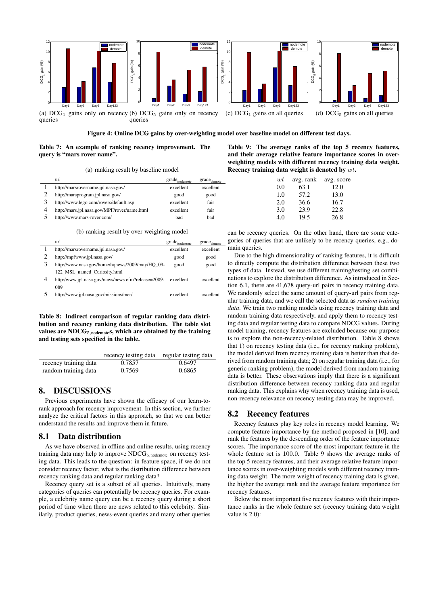

Figure 4: Online DCG gains by over-weighting model over baseline model on different test days.

#### Table 7: An example of ranking recency improvement. The query is "mars rover name".

(a) ranking result by baseline model

| url                                          | $grade_{nodenote}$ | $grade_{\text{demote}}$ |
|----------------------------------------------|--------------------|-------------------------|
| http://marsrovername.jpl.nasa.gov/           | excellent          | excellent               |
| http://marsprogram.jpl.nasa.gov/             | good               | good                    |
| http://www.lego.com/rovers/default.asp       | excellent          | fair                    |
| http://mars.jpl.nasa.gov/MPF/rover/name.html | excellent          | fair                    |
| http://www.mars-rover.com/                   | bad                | bad                     |

(b) ranking result by over-weighting model

|   | url                                                | grade <sub>nodemote</sub> | grade <sub>demote</sub> |
|---|----------------------------------------------------|---------------------------|-------------------------|
|   | http://marsrovername.jpl.nasa.gov/                 | excellent                 | excellent               |
| 2 | http://mpfwww.jpl.nasa.gov/                        | good                      | good                    |
| 3 | http://www.nasa.gov/home/hqnews/2009/may/HQ 09-    | good                      | good                    |
|   | 122 MSL named Curiosity.html                       |                           |                         |
| 4 | http:/www.jpl.nasa.gov/news/news.cfm?release=2009- | excellent                 | excellent               |
|   | 089                                                |                           |                         |
|   | http://www.jpl.nasa.gov/missions/mer/              | excellent                 | excellent               |

Table 8: Indirect comparison of regular ranking data distribution and recency ranking data distribution. The table slot values are NDCG<sub>5,nodemote</sub>s, which are obtained by the training and testing sets specified in the table.

|                       | recency testing data regular testing data |        |
|-----------------------|-------------------------------------------|--------|
| recency training data | 0.7857                                    | 0.6497 |
| random training data  | 0.7569                                    | 0.6865 |

### 8. DISCUSSIONS

Previous experiments have shown the efficacy of our learn-torank approach for recency improvement. In this section, we further analyze the critical factors in this approach, so that we can better understand the results and improve them in future.

### 8.1 Data distribution

As we have observed in offline and online results, using recency training data may help to improve NDCG5*,*nodemote on recency testing data. This leads to the question: in feature space, if we do not consider recency factor, what is the distribution difference between recency ranking data and regular ranking data?

Recency query set is a subset of all queries. Intuitively, many categories of queries can potentially be recency queries. For example, a celebrity name query can be a recency query during a short period of time when there are news related to this celebrity. Similarly, product queries, news-event queries and many other queries

Table 9: The average ranks of the top 5 recency features, and their average relative feature importance scores in overweighting models with different recency training data weight. Recency training data weight is denoted by *wt*.

| wt  | avg. rank | avg. score |
|-----|-----------|------------|
| 0.0 | 63.1      | 12.0       |
| 1.0 | 57.2      | 13.0       |
| 2.0 | 36.6      | 16.7       |
| 3.0 | 23.9      | 22.8       |
| 4.0 | 19.5      | 26.8       |

can be recency queries. On the other hand, there are some categories of queries that are unlikely to be recency queries, e.g., domain queries.

Due to the high dimensionality of ranking features, it is difficult to directly compute the distribution difference between these two types of data. Instead, we use different training/testing set combinations to explore the distribution difference. As introduced in Section 6.1, there are 41,678 query-url pairs in recency training data. We randomly select the same amount of query-url pairs from regular training data, and we call the selected data as *random training data*. We train two ranking models using recency training data and random training data respectively, and apply them to recency testing data and regular testing data to compare NDCG values. During model training, recency features are excluded because our purpose is to explore the non-recency-related distribution. Table 8 shows that 1) on recency testing data (i.e., for recency ranking problem), the model derived from recency training data is better than that derived from random training data; 2) on regular training data (i.e., for generic ranking problem), the model derived from random training data is better. These observations imply that there is a significant distribution difference between recency ranking data and regular ranking data. This explains why when recency training data is used, non-recency relevance on recency testing data may be improved.

#### 8.2 Recency features

Recency features play key roles in recency model learning. We compute feature importance by the method proposed in [10], and rank the features by the descending order of the feature importance scores. The importance score of the most important feature in the whole feature set is 100*.*0. Table 9 shows the average ranks of the top 5 recency features, and their average relative feature importance scores in over-weighting models with different recency training data weight. The more weight of recency training data is given, the higher the average rank and the average feature importance for recency features.

Below the most important five recency features with their importance ranks in the whole feature set (recency training data weight value is 2.0):